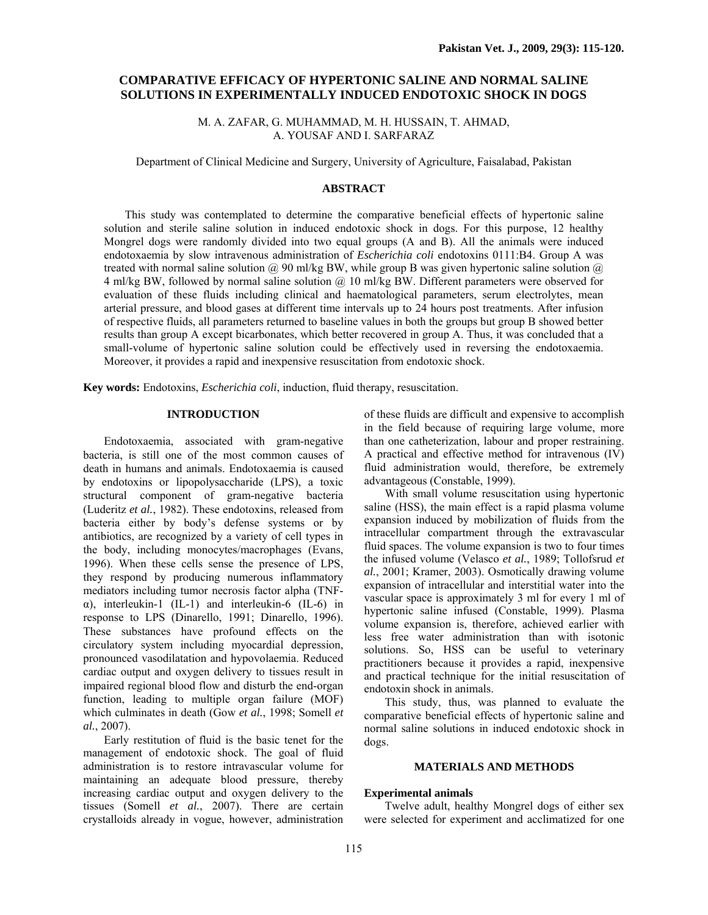# **COMPARATIVE EFFICACY OF HYPERTONIC SALINE AND NORMAL SALINE SOLUTIONS IN EXPERIMENTALLY INDUCED ENDOTOXIC SHOCK IN DOGS**

M. A. ZAFAR, G. MUHAMMAD, M. H. HUSSAIN, T. AHMAD, A. YOUSAF AND I. SARFARAZ

Department of Clinical Medicine and Surgery, University of Agriculture, Faisalabad, Pakistan

## **ABSTRACT**

This study was contemplated to determine the comparative beneficial effects of hypertonic saline solution and sterile saline solution in induced endotoxic shock in dogs. For this purpose, 12 healthy Mongrel dogs were randomly divided into two equal groups (A and B). All the animals were induced endotoxaemia by slow intravenous administration of *Escherichia coli* endotoxins 0111:B4. Group A was treated with normal saline solution  $\omega$  90 ml/kg BW, while group B was given hypertonic saline solution  $\omega$ . 4 ml/kg BW, followed by normal saline solution @ 10 ml/kg BW. Different parameters were observed for evaluation of these fluids including clinical and haematological parameters, serum electrolytes, mean arterial pressure, and blood gases at different time intervals up to 24 hours post treatments. After infusion of respective fluids, all parameters returned to baseline values in both the groups but group B showed better results than group A except bicarbonates, which better recovered in group A. Thus, it was concluded that a small-volume of hypertonic saline solution could be effectively used in reversing the endotoxaemia. Moreover, it provides a rapid and inexpensive resuscitation from endotoxic shock.

**Key words:** Endotoxins, *Escherichia coli*, induction, fluid therapy, resuscitation.

## **INTRODUCTION**

Endotoxaemia, associated with gram-negative bacteria, is still one of the most common causes of death in humans and animals. Endotoxaemia is caused by endotoxins or lipopolysaccharide (LPS), a toxic structural component of gram-negative bacteria (Luderitz *et al.*, 1982). These endotoxins, released from bacteria either by body's defense systems or by antibiotics, are recognized by a variety of cell types in the body, including monocytes/macrophages (Evans, 1996). When these cells sense the presence of LPS, they respond by producing numerous inflammatory mediators including tumor necrosis factor alpha (TNFα), interleukin-1 (IL-1) and interleukin-6 (IL-6) in response to LPS (Dinarello, 1991; Dinarello, 1996). These substances have profound effects on the circulatory system including myocardial depression, pronounced vasodilatation and hypovolaemia. Reduced cardiac output and oxygen delivery to tissues result in impaired regional blood flow and disturb the end-organ function, leading to multiple organ failure (MOF) which culminates in death (Gow *et al.*, 1998; Somell *et al.*, 2007).

Early restitution of fluid is the basic tenet for the management of endotoxic shock. The goal of fluid administration is to restore intravascular volume for maintaining an adequate blood pressure, thereby increasing cardiac output and oxygen delivery to the tissues (Somell *et al.*, 2007). There are certain crystalloids already in vogue, however, administration

of these fluids are difficult and expensive to accomplish in the field because of requiring large volume, more than one catheterization, labour and proper restraining. A practical and effective method for intravenous (IV) fluid administration would, therefore, be extremely advantageous (Constable, 1999).

With small volume resuscitation using hypertonic saline (HSS), the main effect is a rapid plasma volume expansion induced by mobilization of fluids from the intracellular compartment through the extravascular fluid spaces. The volume expansion is two to four times the infused volume (Velasco *et al.*, 1989; Tollofsrud *et al.*, 2001; Kramer, 2003). Osmotically drawing volume expansion of intracellular and interstitial water into the vascular space is approximately 3 ml for every 1 ml of hypertonic saline infused (Constable, 1999). Plasma volume expansion is, therefore, achieved earlier with less free water administration than with isotonic solutions. So, HSS can be useful to veterinary practitioners because it provides a rapid, inexpensive and practical technique for the initial resuscitation of endotoxin shock in animals.

This study, thus, was planned to evaluate the comparative beneficial effects of hypertonic saline and normal saline solutions in induced endotoxic shock in dogs.

#### **MATERIALS AND METHODS**

## **Experimental animals**

Twelve adult, healthy Mongrel dogs of either sex were selected for experiment and acclimatized for one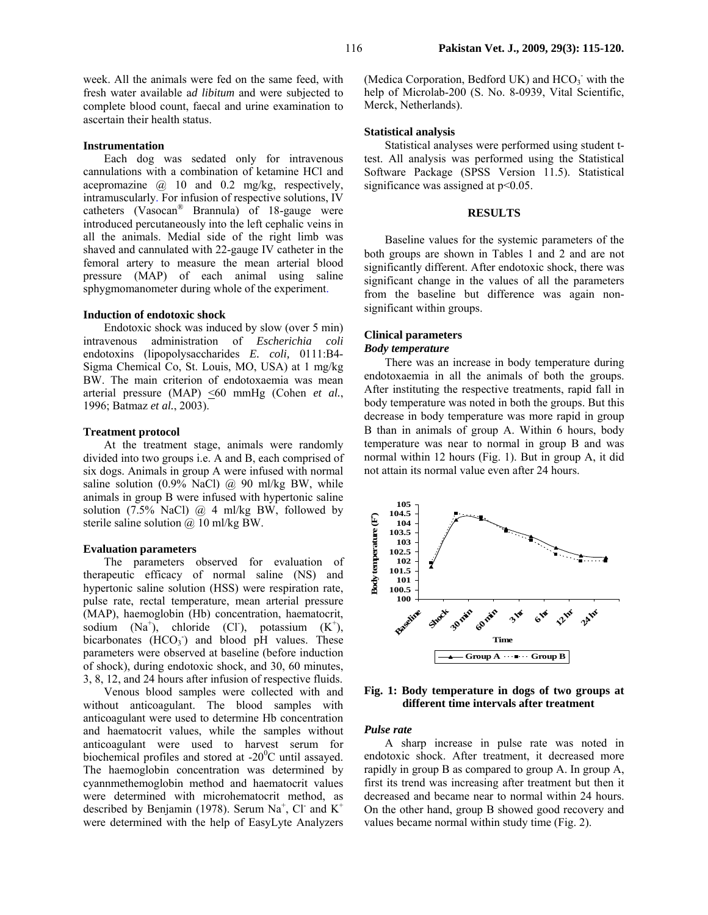week. All the animals were fed on the same feed, with fresh water available a*d libitum* and were subjected to complete blood count, faecal and urine examination to ascertain their health status.

### **Instrumentation**

Each dog was sedated only for intravenous cannulations with a combination of ketamine HCl and acepromazine @ 10 and 0.2 mg/kg, respectively, intramuscularly. For infusion of respective solutions, IV catheters (Vasocan® Brannula) of 18-gauge were introduced percutaneously into the left cephalic veins in all the animals. Medial side of the right limb was shaved and cannulated with 22-gauge IV catheter in the femoral artery to measure the mean arterial blood pressure (MAP) of each animal using saline sphygmomanometer during whole of the experiment.

### **Induction of endotoxic shock**

Endotoxic shock was induced by slow (over 5 min) intravenous administration of *Escherichia coli*  endotoxins (lipopolysaccharides *E. coli,* 0111:B4- Sigma Chemical Co, St. Louis, MO, USA) at 1 mg/kg BW. The main criterion of endotoxaemia was mean arterial pressure (MAP) <60 mmHg (Cohen *et al.*, 1996; Batmaz *et al.*, 2003).

## **Treatment protocol**

At the treatment stage, animals were randomly divided into two groups i.e. A and B, each comprised of six dogs. Animals in group A were infused with normal saline solution  $(0.9\% \text{ NaCl})$   $(a)$  90 ml/kg BW, while animals in group B were infused with hypertonic saline solution (7.5% NaCl)  $\omega$  4 ml/kg BW, followed by sterile saline solution @ 10 ml/kg BW.

### **Evaluation parameters**

The parameters observed for evaluation of therapeutic efficacy of normal saline (NS) and hypertonic saline solution (HSS) were respiration rate, pulse rate, rectal temperature, mean arterial pressure (MAP), haemoglobin (Hb) concentration, haematocrit, sodium  $(Na^+)$ , chloride (Cl<sup>-</sup>), potassium  $(K^+)$ , bicarbonates  $(HCO<sub>3</sub>)$  and blood pH values. These parameters were observed at baseline (before induction of shock), during endotoxic shock, and 30, 60 minutes, 3, 8, 12, and 24 hours after infusion of respective fluids.

Venous blood samples were collected with and without anticoagulant. The blood samples with anticoagulant were used to determine Hb concentration and haematocrit values, while the samples without anticoagulant were used to harvest serum for biochemical profiles and stored at  $-20^{\circ}$ C until assayed. The haemoglobin concentration was determined by cyannmethemoglobin method and haematocrit values were determined with microhematocrit method, as described by Benjamin (1978). Serum  $Na<sup>+</sup>$ , Cl<sup>-</sup> and  $K<sup>+</sup>$ were determined with the help of EasyLyte Analyzers

(Medica Corporation, Bedford UK) and HCO<sub>3</sub> with the help of Microlab-200 (S. No. 8-0939, Vital Scientific, Merck, Netherlands).

## **Statistical analysis**

Statistical analyses were performed using student ttest. All analysis was performed using the Statistical Software Package (SPSS Version 11.5). Statistical significance was assigned at  $p<0.05$ .

### **RESULTS**

Baseline values for the systemic parameters of the both groups are shown in Tables 1 and 2 and are not significantly different. After endotoxic shock, there was significant change in the values of all the parameters from the baseline but difference was again nonsignificant within groups.

### **Clinical parameters**

## *Body temperature*

There was an increase in body temperature during endotoxaemia in all the animals of both the groups. After instituting the respective treatments, rapid fall in body temperature was noted in both the groups. But this decrease in body temperature was more rapid in group B than in animals of group A. Within 6 hours, body temperature was near to normal in group B and was normal within 12 hours (Fig. 1). But in group A, it did not attain its normal value even after 24 hours.



**Fig. 1: Body temperature in dogs of two groups at different time intervals after treatment** 

## *Pulse rate*

A sharp increase in pulse rate was noted in endotoxic shock. After treatment, it decreased more rapidly in group B as compared to group A. In group A, first its trend was increasing after treatment but then it decreased and became near to normal within 24 hours. On the other hand, group B showed good recovery and values became normal within study time (Fig. 2).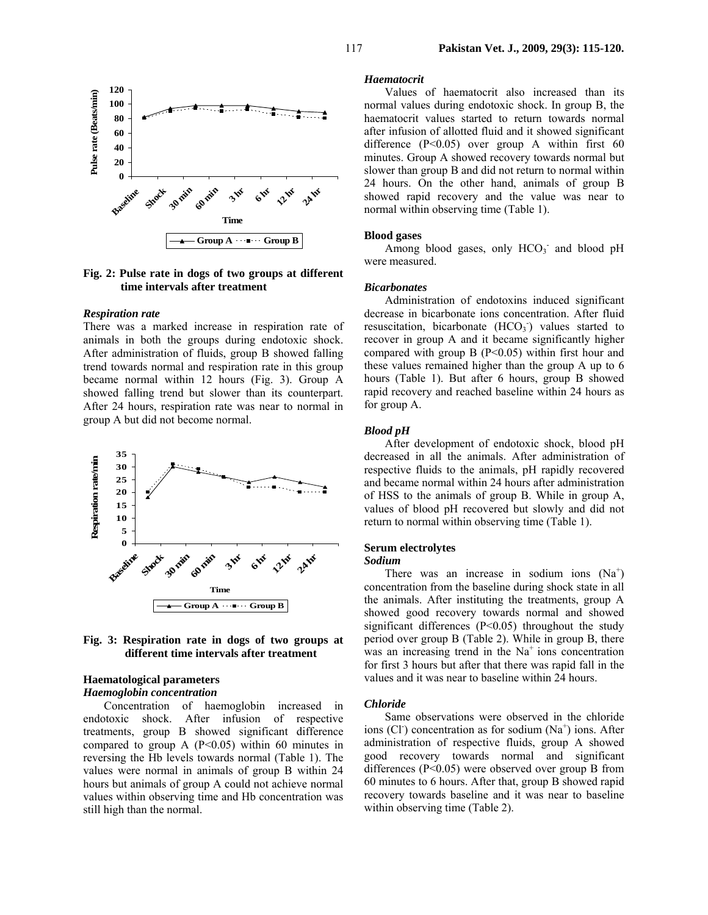

## **Fig. 2: Pulse rate in dogs of two groups at different time intervals after treatment**

#### *Respiration rate*

There was a marked increase in respiration rate of animals in both the groups during endotoxic shock. After administration of fluids, group B showed falling trend towards normal and respiration rate in this group became normal within 12 hours (Fig. 3). Group A showed falling trend but slower than its counterpart. After 24 hours, respiration rate was near to normal in group A but did not become normal.





### **Haematological parameters** *Haemoglobin concentration*

Concentration of haemoglobin increased in endotoxic shock. After infusion of respective treatments, group B showed significant difference compared to group A  $(P< 0.05)$  within 60 minutes in reversing the Hb levels towards normal (Table 1). The values were normal in animals of group B within 24 hours but animals of group A could not achieve normal values within observing time and Hb concentration was still high than the normal.

#### *Haematocrit*

Values of haematocrit also increased than its normal values during endotoxic shock. In group B, the haematocrit values started to return towards normal after infusion of allotted fluid and it showed significant difference  $(P<0.05)$  over group A within first 60 minutes. Group A showed recovery towards normal but slower than group B and did not return to normal within 24 hours. On the other hand, animals of group B showed rapid recovery and the value was near to normal within observing time (Table 1).

## **Blood gases**

Among blood gases, only  $HCO<sub>3</sub>$  and blood pH were measured.

### *Bicarbonates*

Administration of endotoxins induced significant decrease in bicarbonate ions concentration. After fluid resuscitation, bicarbonate  $(HCO<sub>3</sub>)$  values started to recover in group A and it became significantly higher compared with group B  $(P<0.05)$  within first hour and these values remained higher than the group A up to 6 hours (Table 1). But after 6 hours, group B showed rapid recovery and reached baseline within 24 hours as for group A.

# *Blood pH*

After development of endotoxic shock, blood pH decreased in all the animals. After administration of respective fluids to the animals, pH rapidly recovered and became normal within 24 hours after administration of HSS to the animals of group B. While in group A, values of blood pH recovered but slowly and did not return to normal within observing time (Table 1).

## **Serum electrolytes**

## *Sodium*

There was an increase in sodium ions  $(Na^+)$ concentration from the baseline during shock state in all the animals. After instituting the treatments, group A showed good recovery towards normal and showed significant differences (P<0.05) throughout the study period over group B (Table 2). While in group B, there was an increasing trend in the  $Na<sup>+</sup>$  ions concentration for first 3 hours but after that there was rapid fall in the values and it was near to baseline within 24 hours.

#### *Chloride*

Same observations were observed in the chloride ions (Cl<sup>-</sup>) concentration as for sodium  $(Na^+)$  ions. After administration of respective fluids, group A showed good recovery towards normal and significant differences (P<0.05) were observed over group B from 60 minutes to 6 hours. After that, group B showed rapid recovery towards baseline and it was near to baseline within observing time (Table 2).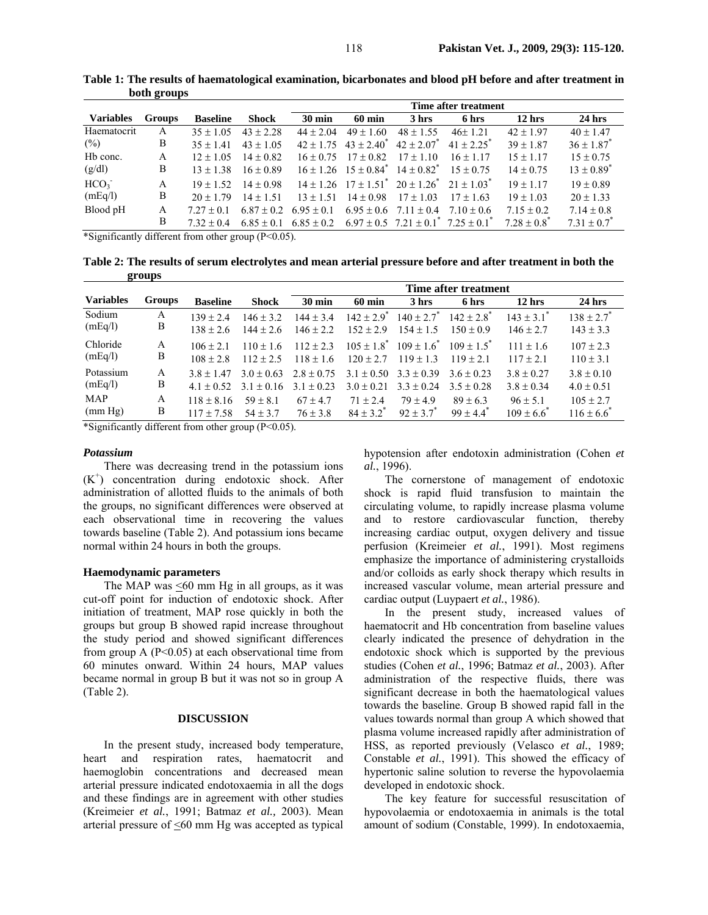|                  |               |                 |               | Time after treatment |                                                                     |                                                               |                            |                      |                            |
|------------------|---------------|-----------------|---------------|----------------------|---------------------------------------------------------------------|---------------------------------------------------------------|----------------------------|----------------------|----------------------------|
| <b>Variables</b> | <b>Groups</b> | <b>Baseline</b> | Shock         | $30 \text{ min}$     | $60 \text{ min}$                                                    | 3 hrs                                                         | 6 hrs                      | $12$ hrs             | $24$ hrs                   |
| Haematocrit      | A             | $35 + 105$      | $43 + 2.28$   | $44 + 2.04$          | $49 \pm 1.60$                                                       | $48 \pm 1.55$                                                 | $46+121$                   | $42 \pm 1.97$        | $40 \pm 1.47$              |
| (%)              | B             | $35 \pm 1.41$   | $43 \pm 1.05$ |                      | $42 \pm 1.75$ $43 \pm 2.40^*$                                       | $42 \pm 2.07$ <sup>*</sup>                                    | $41 \pm 2.25$ <sup>*</sup> | $39 \pm 1.87$        | $36 \pm 1.87$ <sup>*</sup> |
| Hb conc.         | A             | $12 \pm 1.05$   | $14 \pm 0.82$ | $16 + 0.75$          | $17 \pm 0.82$                                                       | $17 \pm 1.10$                                                 | $16 + 117$                 | $15 \pm 1.17$        | $15 \pm 0.75$              |
| (g/dl)           | B             | $13 \pm 1.38$   | $16 \pm 0.89$ |                      | $16 \pm 1.26$ $15 \pm 0.84$ <sup>*</sup> $14 \pm 0.82$ <sup>*</sup> |                                                               | $15 \pm 0.75$              | $14 \pm 0.75$        | $13 \pm 0.89$ <sup>*</sup> |
| HCO <sub>3</sub> | A             | $19 \pm 1.52$   | $14 \pm 0.98$ |                      |                                                                     | $14 \pm 1.26$ $17 \pm 1.51^*$ $20 \pm 1.26^*$ $21 \pm 1.03^*$ |                            | $19 + 117$           | $19 \pm 0.89$              |
| (mEq/l)          | B             | $20 + 179$      | $14 + 151$    | $13 + 151$           | $14 \pm 0.98$                                                       | $17 + 103$                                                    | $17 + 163$                 | $19 + 103$           | $20 \pm 1.33$              |
| Blood pH         | A             | $727 + 01$      | $6.87 + 0.2$  | $695 + 01$           |                                                                     | $6.95 \pm 0.6$ $7.11 \pm 0.4$                                 | $7.10 \pm 0.6$             | $7.15 \pm 0.2$       | $7.14 \pm 0.8$             |
|                  | B             | $732 + 04$      | $685 + 01$    | $685 + 02$           |                                                                     | $6.97 \pm 0.5$ $7.21 \pm 0.1^{\circ}$ $7.25 \pm 0.1^{\circ}$  |                            | $7.28 + 0.8^{\circ}$ | $7.31 \pm 0.7^{\circ}$     |

**Table 1: The results of haematological examination, bicarbonates and blood pH before and after treatment in both groups**

\*Significantly different from other group (P<0.05).

**Table 2: The results of serum electrolytes and mean arterial pressure before and after treatment in both the groups** 

|                  |        |                 |                | Time after treatment |                            |                               |                           |                         |                            |
|------------------|--------|-----------------|----------------|----------------------|----------------------------|-------------------------------|---------------------------|-------------------------|----------------------------|
| <b>Variables</b> | Groups | <b>Baseline</b> | <b>Shock</b>   | $30 \text{ min}$     | $60 \text{ min}$           | 3 hrs                         | 6 hrs                     | $12$ hrs                | $24$ hrs                   |
| Sodium           | A      | $139 + 24$      | $146 + 32$     | $144 + 34$           | $142 \pm 2.9$ <sup>*</sup> | $140 \pm 2.7$ <sup>*</sup>    | $142 + 28$ <sup>*</sup>   | $143 + 31$ <sup>*</sup> | $138 \pm 2.7$ <sup>*</sup> |
| (mEq/l)          | B      | $138 + 26$      | $144 + 26$     | $146 \pm 2.2$        | $152 + 29$                 | $154 + 15$                    | $150 + 0.9$               | $146 \pm 2.7$           | $143 \pm 3.3$              |
| Chloride         | A      | $106 + 21$      | $110 + 16$     | $112 + 23$           | $105 \pm 1.8$ <sup>*</sup> | $109 \pm 1.6^{\circ}$         | $109 + 15^{*}$            | $111 + 16$              | $107 \pm 2.3$              |
| (mEq/l)          | B      | $108 + 2.8$     | $112 + 25$     | $118 + 16$           | $120 + 27$                 | $119 + 13$                    | $119 + 21$                | $117 + 21$              | $110 \pm 3.1$              |
| Potassium        | A      | $38 + 147$      | $3.0 \pm 0.63$ | $2.8 \pm 0.75$       | $3.0 \pm 0.21$             | $3.1 \pm 0.50$ $3.3 \pm 0.39$ | $36 + 023$                | $3.8 \pm 0.27$          | $3.8 \pm 0.10$             |
| (mEq/l)          | B      | $41 + 0.52$     | $3.1 \pm 0.16$ | $3.1 \pm 0.23$       |                            | $3.3 \pm 0.24$                | $3.5 + 0.28$              | $3.8 \pm 0.34$          | $4.0 \pm 0.51$             |
| <b>MAP</b>       | A      | $118 \pm 8.16$  | $59 \pm 8.1$   | $67 \pm 4.7$         | $71 + 24$                  | $79 + 49$                     | $89 \pm 6.3$              | $96 \pm 5.1$            | $105 \pm 2.7$              |
| (mm Hg)          | В      | $117 \pm 7.58$  | $54 \pm 3.7$   | $76 \pm 3.8$         | $84 \pm 3.2$ <sup>*</sup>  | $92 + 37$ <sup>*</sup>        | $99 \pm 4.4$ <sup>*</sup> | $109 \pm 6.6^{\circ}$   | $116 \pm 6.6^{\circ}$      |

\*Significantly different from other group (P<0.05).

# *Potassium*

There was decreasing trend in the potassium ions (K<sup>+</sup> ) concentration during endotoxic shock. After administration of allotted fluids to the animals of both the groups, no significant differences were observed at each observational time in recovering the values towards baseline (Table 2). And potassium ions became normal within 24 hours in both the groups.

## **Haemodynamic parameters**

The MAP was  $\leq 60$  mm Hg in all groups, as it was cut-off point for induction of endotoxic shock. After initiation of treatment, MAP rose quickly in both the groups but group B showed rapid increase throughout the study period and showed significant differences from group A  $(P< 0.05)$  at each observational time from 60 minutes onward. Within 24 hours, MAP values became normal in group B but it was not so in group A (Table 2).

## **DISCUSSION**

In the present study, increased body temperature, heart and respiration rates, haematocrit and haemoglobin concentrations and decreased mean arterial pressure indicated endotoxaemia in all the dogs and these findings are in agreement with other studies (Kreimeier *et al.*, 1991; Batmaz *et al.,* 2003). Mean arterial pressure of  $\leq 60$  mm Hg was accepted as typical

hypotension after endotoxin administration (Cohen *et al.*, 1996).

The cornerstone of management of endotoxic shock is rapid fluid transfusion to maintain the circulating volume, to rapidly increase plasma volume and to restore cardiovascular function, thereby increasing cardiac output, oxygen delivery and tissue perfusion (Kreimeier *et al.*, 1991). Most regimens emphasize the importance of administering crystalloids and/or colloids as early shock therapy which results in increased vascular volume, mean arterial pressure and cardiac output (Luypaert *et al.*, 1986).

In the present study, increased values of haematocrit and Hb concentration from baseline values clearly indicated the presence of dehydration in the endotoxic shock which is supported by the previous studies (Cohen *et al.*, 1996; Batmaz *et al.*, 2003). After administration of the respective fluids, there was significant decrease in both the haematological values towards the baseline. Group B showed rapid fall in the values towards normal than group A which showed that plasma volume increased rapidly after administration of HSS, as reported previously (Velasco *et al.*, 1989; Constable *et al.*, 1991). This showed the efficacy of hypertonic saline solution to reverse the hypovolaemia developed in endotoxic shock.

The key feature for successful resuscitation of hypovolaemia or endotoxaemia in animals is the total amount of sodium (Constable, 1999). In endotoxaemia,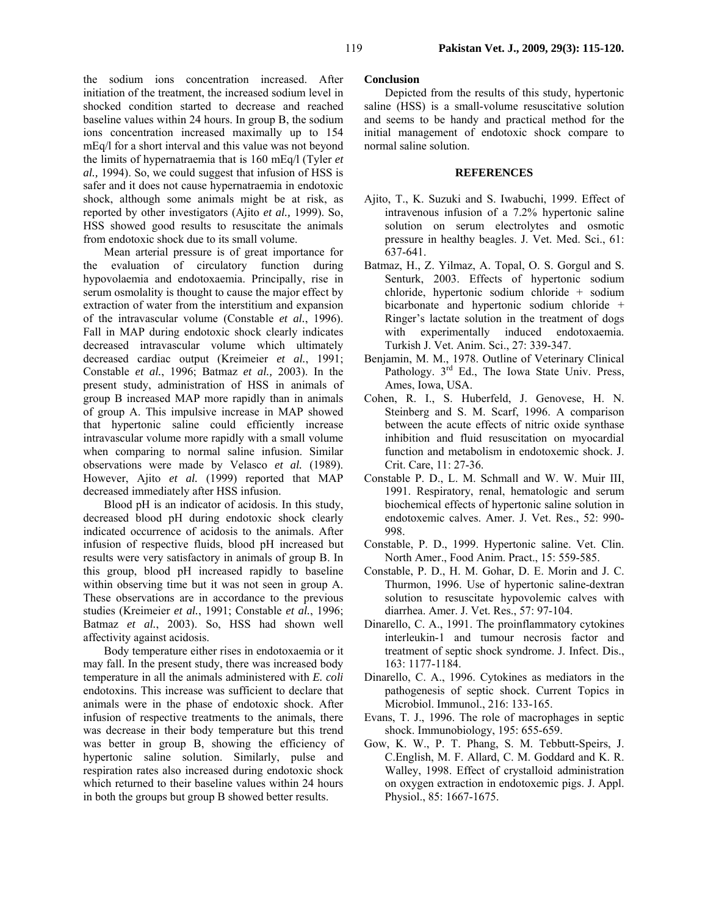the sodium ions concentration increased. After initiation of the treatment, the increased sodium level in shocked condition started to decrease and reached baseline values within 24 hours. In group B, the sodium ions concentration increased maximally up to 154 mEq/l for a short interval and this value was not beyond the limits of hypernatraemia that is 160 mEq/l (Tyler *et al.,* 1994). So, we could suggest that infusion of HSS is safer and it does not cause hypernatraemia in endotoxic shock, although some animals might be at risk, as reported by other investigators (Ajito *et al.,* 1999). So, HSS showed good results to resuscitate the animals from endotoxic shock due to its small volume.

Mean arterial pressure is of great importance for the evaluation of circulatory function during hypovolaemia and endotoxaemia. Principally, rise in serum osmolality is thought to cause the major effect by extraction of water from the interstitium and expansion of the intravascular volume (Constable *et al.*, 1996). Fall in MAP during endotoxic shock clearly indicates decreased intravascular volume which ultimately decreased cardiac output (Kreimeier *et al.*, 1991; Constable *et al.*, 1996; Batmaz *et al.,* 2003). In the present study, administration of HSS in animals of group B increased MAP more rapidly than in animals of group A. This impulsive increase in MAP showed that hypertonic saline could efficiently increase intravascular volume more rapidly with a small volume when comparing to normal saline infusion. Similar observations were made by Velasco *et al.* (1989). However, Ajito *et al.* (1999) reported that MAP decreased immediately after HSS infusion.

Blood pH is an indicator of acidosis. In this study, decreased blood pH during endotoxic shock clearly indicated occurrence of acidosis to the animals. After infusion of respective fluids, blood pH increased but results were very satisfactory in animals of group B. In this group, blood pH increased rapidly to baseline within observing time but it was not seen in group A. These observations are in accordance to the previous studies (Kreimeier *et al.*, 1991; Constable *et al.*, 1996; Batmaz *et al.*, 2003). So, HSS had shown well affectivity against acidosis.

Body temperature either rises in endotoxaemia or it may fall. In the present study, there was increased body temperature in all the animals administered with *E. coli*  endotoxins. This increase was sufficient to declare that animals were in the phase of endotoxic shock. After infusion of respective treatments to the animals, there was decrease in their body temperature but this trend was better in group B, showing the efficiency of hypertonic saline solution. Similarly, pulse and respiration rates also increased during endotoxic shock which returned to their baseline values within 24 hours in both the groups but group B showed better results.

## **Conclusion**

Depicted from the results of this study, hypertonic saline (HSS) is a small-volume resuscitative solution and seems to be handy and practical method for the initial management of endotoxic shock compare to normal saline solution.

### **REFERENCES**

- Ajito, T., K. Suzuki and S. Iwabuchi, 1999. Effect of intravenous infusion of a 7.2% hypertonic saline solution on serum electrolytes and osmotic pressure in healthy beagles. J. Vet. Med. Sci., 61: 637-641.
- Batmaz, H., Z. Yilmaz, A. Topal, O. S. Gorgul and S. Senturk, 2003. Effects of hypertonic sodium chloride, hypertonic sodium chloride + sodium bicarbonate and hypertonic sodium chloride + Ringer's lactate solution in the treatment of dogs with experimentally induced endotoxaemia. Turkish J. Vet. Anim. Sci., 27: 339-347.
- Benjamin, M. M., 1978. Outline of Veterinary Clinical Pathology.  $3<sup>rd</sup>$  Ed., The Iowa State Univ. Press, Ames, Iowa, USA.
- Cohen, R. I., S. Huberfeld, J. Genovese, H. N. Steinberg and S. M. Scarf, 1996. A comparison between the acute effects of nitric oxide synthase inhibition and fluid resuscitation on myocardial function and metabolism in endotoxemic shock. J. Crit. Care, 11: 27-36.
- Constable P. D., L. M. Schmall and W. W. Muir III, 1991. Respiratory, renal, hematologic and serum biochemical effects of hypertonic saline solution in endotoxemic calves. Amer. J. Vet. Res., 52: 990- 998.
- Constable, P. D., 1999. Hypertonic saline. Vet. Clin. North Amer., Food Anim. Pract., 15: 559-585.
- Constable, P. D., H. M. Gohar, D. E. Morin and J. C. Thurmon, 1996. Use of hypertonic saline-dextran solution to resuscitate hypovolemic calves with diarrhea. Amer. J. Vet. Res., 57: 97-104.
- Dinarello, C. A., 1991. The proinflammatory cytokines interleukin-1 and tumour necrosis factor and treatment of septic shock syndrome. J. Infect. Dis., 163: 1177-1184.
- Dinarello, C. A., 1996. Cytokines as mediators in the pathogenesis of septic shock. Current Topics in Microbiol. Immunol., 216: 133-165.
- Evans, T. J., 1996. The role of macrophages in septic shock. Immunobiology, 195: 655-659.
- Gow, K. W., P. T. Phang, S. M. Tebbutt-Speirs, J. C.English, M. F. Allard, C. M. Goddard and K. R. Walley, 1998. Effect of crystalloid administration on oxygen extraction in endotoxemic pigs. J. Appl. Physiol., 85: 1667-1675.